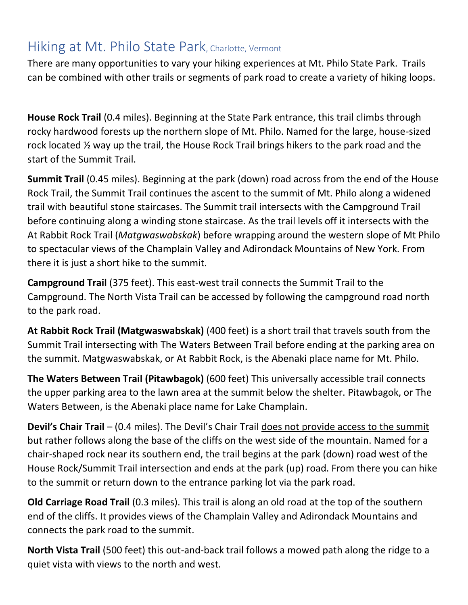## Hiking at Mt. Philo State Park, Charlotte, Vermont

There are many opportunities to vary your hiking experiences at Mt. Philo State Park. Trails can be combined with other trails or segments of park road to create a variety of hiking loops.

**House Rock Trail** (0.4 miles). Beginning at the State Park entrance, this trail climbs through rocky hardwood forests up the northern slope of Mt. Philo. Named for the large, house-sized rock located ½ way up the trail, the House Rock Trail brings hikers to the park road and the start of the Summit Trail.

**Summit Trail** (0.45 miles). Beginning at the park (down) road across from the end of the House Rock Trail, the Summit Trail continues the ascent to the summit of Mt. Philo along a widened trail with beautiful stone staircases. The Summit trail intersects with the Campground Trail before continuing along a winding stone staircase. As the trail levels off it intersects with the At Rabbit Rock Trail (*Matgwaswabskak*) before wrapping around the western slope of Mt Philo to spectacular views of the Champlain Valley and Adirondack Mountains of New York. From there it is just a short hike to the summit.

**Campground Trail** (375 feet). This east-west trail connects the Summit Trail to the Campground. The North Vista Trail can be accessed by following the campground road north to the park road.

**At Rabbit Rock Trail (Matgwaswabskak)** (400 feet) is a short trail that travels south from the Summit Trail intersecting with The Waters Between Trail before ending at the parking area on the summit. Matgwaswabskak, or At Rabbit Rock, is the Abenaki place name for Mt. Philo.

**The Waters Between Trail (Pitawbagok)** (600 feet) This universally accessible trail connects the upper parking area to the lawn area at the summit below the shelter. Pitawbagok, or The Waters Between, is the Abenaki place name for Lake Champlain.

**Devil's Chair Trail** – (0.4 miles). The Devil's Chair Trail does not provide access to the summit but rather follows along the base of the cliffs on the west side of the mountain. Named for a chair-shaped rock near its southern end, the trail begins at the park (down) road west of the House Rock/Summit Trail intersection and ends at the park (up) road. From there you can hike to the summit or return down to the entrance parking lot via the park road.

**Old Carriage Road Trail** (0.3 miles). This trail is along an old road at the top of the southern end of the cliffs. It provides views of the Champlain Valley and Adirondack Mountains and connects the park road to the summit.

**North Vista Trail** (500 feet) this out-and-back trail follows a mowed path along the ridge to a quiet vista with views to the north and west.